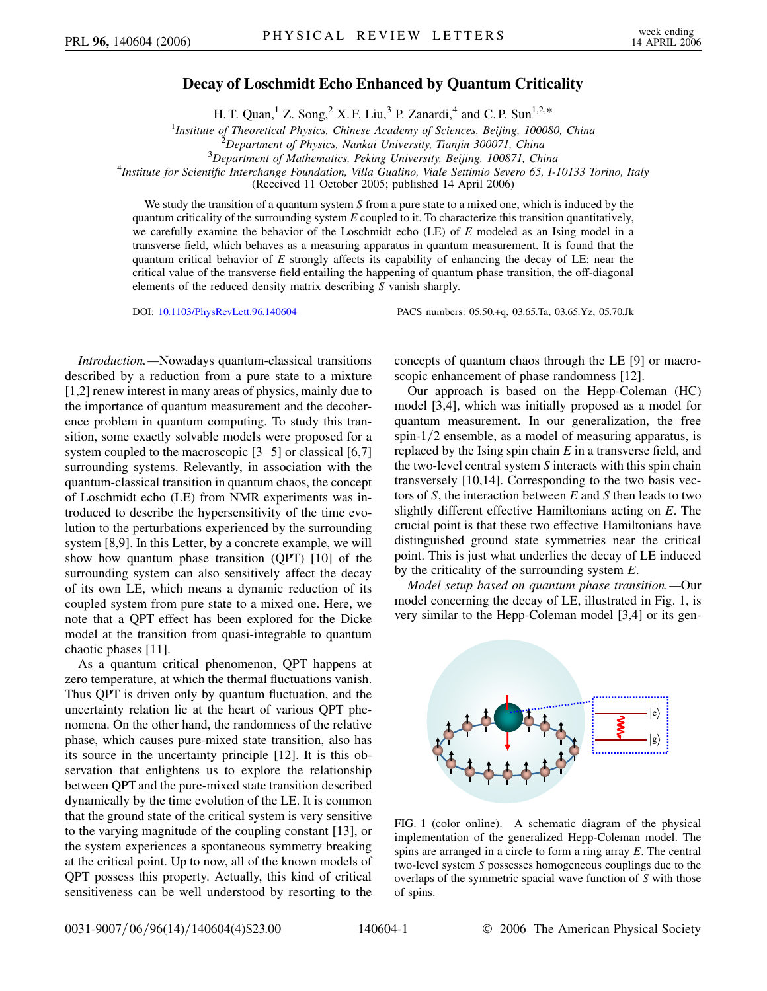## **Decay of Loschmidt Echo Enhanced by Quantum Criticality**

H. T. Quan,<sup>1</sup> Z. Song,<sup>2</sup> X. F. Liu,<sup>3</sup> P. Zanardi,<sup>4</sup> and C. P. Sun<sup>1,2,\*</sup>

<sup>1</sup>*Institute of Theoretical Physics, Chinese Academy of Sciences, Beijing, 100080, China*<br><sup>2</sup> Department of Physics, Nankai University, Tianiin 300071, China

*Department of Mathematics, Peking University, Beijing, 100871, China* <sup>4</sup>

*Institute for Scientific Interchange Foundation, Villa Gualino, Viale Settimio Severo 65, I-10133 Torino, Italy*

(Received 11 October 2005; published 14 April 2006)

We study the transition of a quantum system *S* from a pure state to a mixed one, which is induced by the quantum criticality of the surrounding system *E* coupled to it. To characterize this transition quantitatively, we carefully examine the behavior of the Loschmidt echo (LE) of *E* modeled as an Ising model in a transverse field, which behaves as a measuring apparatus in quantum measurement. It is found that the quantum critical behavior of *E* strongly affects its capability of enhancing the decay of LE: near the critical value of the transverse field entailing the happening of quantum phase transition, the off-diagonal elements of the reduced density matrix describing *S* vanish sharply.

DOI: [10.1103/PhysRevLett.96.140604](http://dx.doi.org/10.1103/PhysRevLett.96.140604) PACS numbers: 05.50.+q, 03.65.Ta, 03.65.Yz, 05.70.Jk

*Introduction.—*Nowadays quantum-classical transitions described by a reduction from a pure state to a mixture [1,2] renew interest in many areas of physics, mainly due to the importance of quantum measurement and the decoherence problem in quantum computing. To study this transition, some exactly solvable models were proposed for a system coupled to the macroscopic [3–5] or classical [6,7] surrounding systems. Relevantly, in association with the quantum-classical transition in quantum chaos, the concept of Loschmidt echo (LE) from NMR experiments was introduced to describe the hypersensitivity of the time evolution to the perturbations experienced by the surrounding system [8,9]. In this Letter, by a concrete example, we will show how quantum phase transition (QPT) [10] of the surrounding system can also sensitively affect the decay of its own LE, which means a dynamic reduction of its coupled system from pure state to a mixed one. Here, we note that a QPT effect has been explored for the Dicke model at the transition from quasi-integrable to quantum chaotic phases [11].

As a quantum critical phenomenon, QPT happens at zero temperature, at which the thermal fluctuations vanish. Thus QPT is driven only by quantum fluctuation, and the uncertainty relation lie at the heart of various QPT phenomena. On the other hand, the randomness of the relative phase, which causes pure-mixed state transition, also has its source in the uncertainty principle [12]. It is this observation that enlightens us to explore the relationship between QPT and the pure-mixed state transition described dynamically by the time evolution of the LE. It is common that the ground state of the critical system is very sensitive to the varying magnitude of the coupling constant [13], or the system experiences a spontaneous symmetry breaking at the critical point. Up to now, all of the known models of QPT possess this property. Actually, this kind of critical sensitiveness can be well understood by resorting to the

concepts of quantum chaos through the LE [9] or macroscopic enhancement of phase randomness [12].

Our approach is based on the Hepp-Coleman (HC) model [3,4], which was initially proposed as a model for quantum measurement. In our generalization, the free spin-1/2 ensemble, as a model of measuring apparatus, is replaced by the Ising spin chain *E* in a transverse field, and the two-level central system *S* interacts with this spin chain transversely [10,14]. Corresponding to the two basis vectors of *S*, the interaction between *E* and *S* then leads to two slightly different effective Hamiltonians acting on *E*. The crucial point is that these two effective Hamiltonians have distinguished ground state symmetries near the critical point. This is just what underlies the decay of LE induced by the criticality of the surrounding system *E*.

*Model setup based on quantum phase transition.—*Our model concerning the decay of LE, illustrated in Fig. 1, is very similar to the Hepp-Coleman model [3,4] or its gen-



FIG. 1 (color online). A schematic diagram of the physical implementation of the generalized Hepp-Coleman model. The spins are arranged in a circle to form a ring array *E*. The central two-level system *S* possesses homogeneous couplings due to the overlaps of the symmetric spacial wave function of *S* with those of spins.

*Department of Physics, Nankai University, Tianjin 300071, China* <sup>3</sup>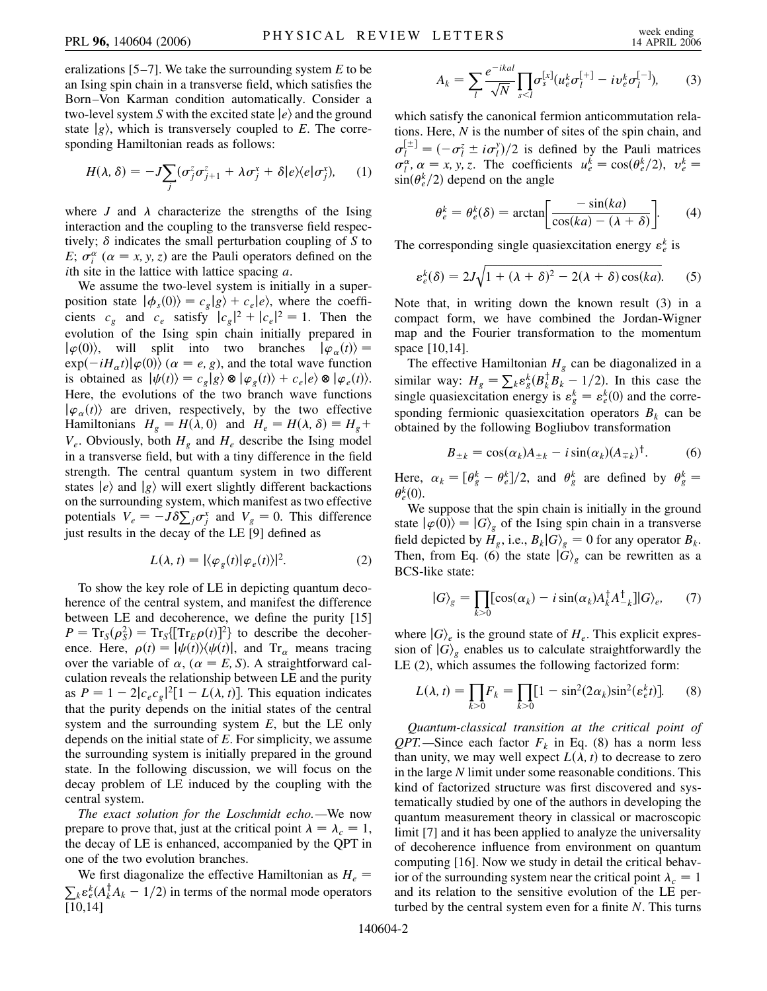eralizations [5–7]. We take the surrounding system *E* to be an Ising spin chain in a transverse field, which satisfies the Born–Von Karman condition automatically. Consider a two-level system *S* with the excited state  $|e\rangle$  and the ground state  $|g\rangle$ , which is transversely coupled to *E*. The corresponding Hamiltonian reads as follows:

$$
H(\lambda, \delta) = -J \sum_{j} (\sigma_j^z \sigma_{j+1}^z + \lambda \sigma_j^x + \delta |e\rangle\langle e|\sigma_j^x), \quad (1)
$$

where *J* and  $\lambda$  characterize the strengths of the Ising interaction and the coupling to the transverse field respectively;  $\delta$  indicates the small perturbation coupling of  $S$  to *E*;  $\sigma_i^{\alpha}$  ( $\alpha = x, y, z$ ) are the Pauli operators defined on the *i*th site in the lattice with lattice spacing *a*.

We assume the two-level system is initially in a superposition state  $|\phi_s(0)\rangle = c_g|g\rangle + c_e|e\rangle$ , where the coefficients  $c_g$  and  $c_e$  satisfy  $|c_g|^2 + |c_e|^2 = 1$ . Then the evolution of the Ising spin chain initially prepared in  $|\varphi(0)\rangle$ , will split into two branches  $|\varphi_{\alpha}(t)\rangle =$  $\exp(-iH_{\alpha}t)|\varphi(0)\rangle$  ( $\alpha = e, g$ ), and the total wave function is obtained as  $|\psi(t)\rangle = c_g|g\rangle \otimes |\varphi_g(t)\rangle + c_e|e\rangle \otimes |\varphi_e(t)\rangle.$ Here, the evolutions of the two branch wave functions  $|\varphi_{\alpha}(t)\rangle$  are driven, respectively, by the two effective Hamiltonians  $H_g = H(\lambda, 0)$  and  $H_e = H(\lambda, \delta) \equiv H_g + \frac{1}{2}$  $V_e$ . Obviously, both  $H_g$  and  $H_e$  describe the Ising model in a transverse field, but with a tiny difference in the field strength. The central quantum system in two different states  $|e\rangle$  and  $|g\rangle$  will exert slightly different backactions on the surrounding system, which manifest as two effective potentials  $V_e = -J\delta \sum_j \sigma_j^x$  and  $V_g = 0$ . This difference just results in the decay of the LE [9] defined as

$$
L(\lambda, t) = |\langle \varphi_g(t) | \varphi_e(t) \rangle|^2.
$$
 (2)

To show the key role of LE in depicting quantum decoherence of the central system, and manifest the difference between LE and decoherence, we define the purity [15]  $P = \text{Tr}_S(\rho_S^2) = \text{Tr}_S[\text{Tr}_E \rho(t)]^2$  to describe the decoherence. Here,  $\rho(t) = |\psi(t)\rangle\langle\psi(t)|$ , and Tr<sub> $\alpha$ </sub> means tracing over the variable of  $\alpha$ , ( $\alpha = E$ , S). A straightforward calculation reveals the relationship between LE and the purity as  $P = 1 - 2|c_e c_g|^2 [1 - L(\lambda, t)]$ . This equation indicates that the purity depends on the initial states of the central system and the surrounding system *E*, but the LE only depends on the initial state of *E*. For simplicity, we assume the surrounding system is initially prepared in the ground state. In the following discussion, we will focus on the decay problem of LE induced by the coupling with the central system.

*The exact solution for the Loschmidt echo.—*We now prepare to prove that, just at the critical point  $\lambda = \lambda_c = 1$ , the decay of LE is enhanced, accompanied by the QPT in one of the two evolution branches.

We first diagonalize the effective Hamiltonian as  $H_e$  =  $k \epsilon_k^k (A_k^{\dagger} A_k - 1/2)$  in terms of the normal mode operators [10,14]

$$
A_k = \sum_l \frac{e^{-ikal}}{\sqrt{N}} \prod_{s < l} \sigma_s^{[x]} (u_e^k \sigma_l^{[+]} - i v_e^k \sigma_l^{[-]}), \tag{3}
$$

which satisfy the canonical fermion anticommutation relations. Here, *N* is the number of sites of the spin chain, and  $\sigma_l^{[\pm]} = (-\sigma_l^z \pm i\sigma_l^y)/2$  is defined by the Pauli matrices  $\sigma_l^{\alpha}$ ,  $\alpha = x, y, z$ . The coefficients  $u_e^k = \cos(\theta_e^k/2), v_e^k =$  $\sin(\theta_e^k/2)$  depend on the angle

$$
\theta_e^k = \theta_e^k(\delta) = \arctan\left[\frac{-\sin(ka)}{\cos(ka) - (\lambda + \delta)}\right].\tag{4}
$$

The corresponding single quasiexcitation energy  $\varepsilon_e^k$  is

$$
\varepsilon_e^k(\delta) = 2J\sqrt{1 + (\lambda + \delta)^2 - 2(\lambda + \delta)\cos(ka)}.
$$
 (5)

Note that, in writing down the known result (3) in a compact form, we have combined the Jordan-Wigner map and the Fourier transformation to the momentum space [10,14].

The effective Hamiltonian  $H<sub>g</sub>$  can be diagonalized in a similar way:  $H_g = \sum_k \epsilon_g^k (B_k^{\dagger} B_k^{\dagger} - 1/2)$ . In this case the single quasiexcitation energy is  $\varepsilon_g^k = \varepsilon_e^k(0)$  and the corresponding fermionic quasiexcitation operators  $B_k$  can be obtained by the following Bogliubov transformation

$$
B_{\pm k} = \cos(\alpha_k) A_{\pm k} - i \sin(\alpha_k) (A_{\mp k})^{\dagger}.
$$
 (6)

Here,  $\alpha_k = [\theta_g^k - \theta_e^k]/2$ , and  $\theta_g^k$  are defined by  $\theta_g^k =$  $\theta_e^k(0)$ .

We suppose that the spin chain is initially in the ground state  $|\varphi(0)\rangle = |G\rangle_g$  of the Ising spin chain in a transverse field depicted by  $\hat{H}_g$ , i.e.,  $B_k|G\rangle_g = 0$  for any operator  $B_k$ . Then, from Eq. (6) the state  $|G\rangle$ <sub>g</sub> can be rewritten as a BCS-like state:

$$
|G\rangle_{g} = \prod_{k>0} [\cos(\alpha_k) - i \sin(\alpha_k) A_k^{\dagger} A_{-k}^{\dagger}]|G\rangle_{e}, \qquad (7)
$$

where  $|G\rangle_e$  is the ground state of  $H_e$ . This explicit expression of  $|G\rangle$ <sub>g</sub> enables us to calculate straightforwardly the LE (2), which assumes the following factorized form:

$$
L(\lambda, t) = \prod_{k>0} F_k = \prod_{k>0} [1 - \sin^2(2\alpha_k)\sin^2(\varepsilon_e^k t)].
$$
 (8)

*Quantum-classical transition at the critical point of QPT.*—Since each factor  $F_k$  in Eq. (8) has a norm less than unity, we may well expect  $L(\lambda, t)$  to decrease to zero in the large *N* limit under some reasonable conditions. This kind of factorized structure was first discovered and systematically studied by one of the authors in developing the quantum measurement theory in classical or macroscopic limit [7] and it has been applied to analyze the universality of decoherence influence from environment on quantum computing [16]. Now we study in detail the critical behavior of the surrounding system near the critical point  $\lambda_c = 1$ and its relation to the sensitive evolution of the LE perturbed by the central system even for a finite *N*. This turns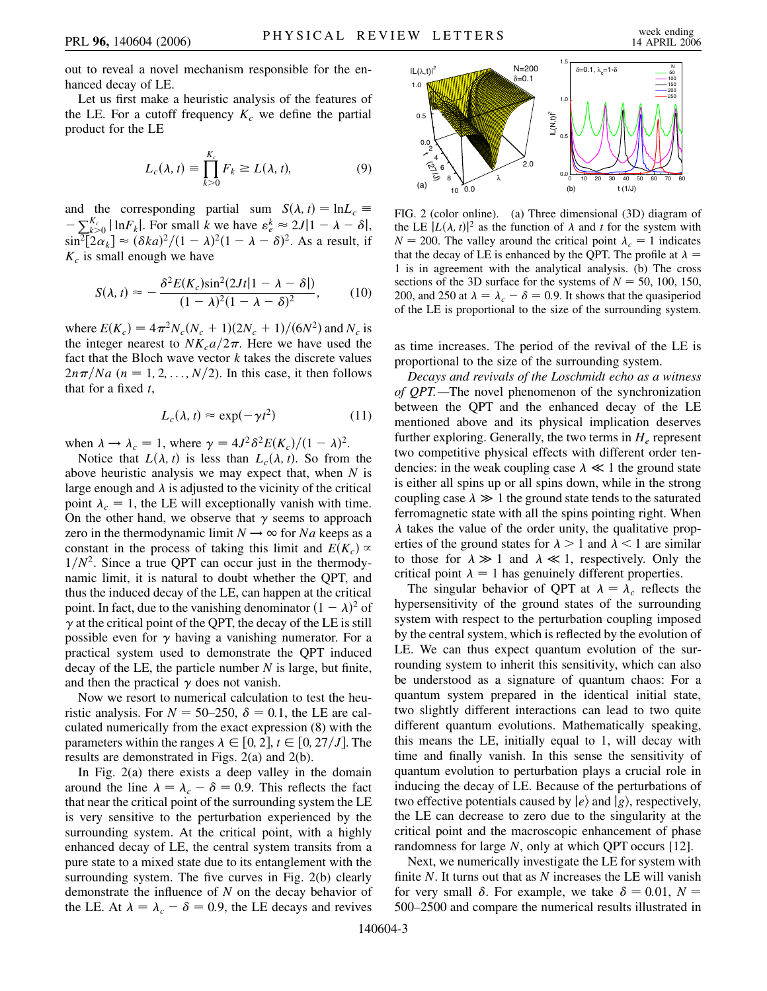out to reveal a novel mechanism responsible for the enhanced decay of LE.

Let us first make a heuristic analysis of the features of the LE. For a cutoff frequency  $K_c$  we define the partial product for the LE

$$
L_c(\lambda, t) \equiv \prod_{k>0}^{K_c} F_k \ge L(\lambda, t), \tag{9}
$$

and the corresponding partial sum  $S(\lambda, t) = \ln L_c$  $-\sum_{k>0}^{K_c} |\ln F_k|$ . For small *k* we have  $\varepsilon_e^k \approx 2J|1 - \lambda - \delta|$ ,  $\sin^2[2\alpha_k] \approx (\delta ka)^2/(1-\lambda)^2(1-\lambda-\delta)^2$ . As a result, if  $K_c$  is small enough we have

$$
S(\lambda, t) \approx -\frac{\delta^2 E(K_c) \sin^2(2Jt|1 - \lambda - \delta|)}{(1 - \lambda)^2 (1 - \lambda - \delta)^2},
$$
 (10)

where  $E(K_c) = 4\pi^2 N_c (N_c + 1)(2N_c + 1)/(6N^2)$  and  $N_c$  is the integer nearest to  $NK_c a/2\pi$ . Here we have used the fact that the Bloch wave vector *k* takes the discrete values  $2n\pi/Na$  ( $n = 1, 2, \ldots, N/2$ ). In this case, it then follows that for a fixed *t*,

$$
L_c(\lambda, t) \approx \exp(-\gamma t^2)
$$
 (11)

when  $\lambda \rightarrow \lambda_c = 1$ , where  $\gamma = 4J^2 \delta^2 E(K_c)/(1 - \lambda)^2$ .

Notice that  $L(\lambda, t)$  is less than  $L_c(\lambda, t)$ . So from the above heuristic analysis we may expect that, when *N* is large enough and  $\lambda$  is adjusted to the vicinity of the critical point  $\lambda_c = 1$ , the LE will exceptionally vanish with time. On the other hand, we observe that  $\gamma$  seems to approach zero in the thermodynamic limit  $N \rightarrow \infty$  for *Na* keeps as a constant in the process of taking this limit and  $E(K_c) \propto$  $1/N^2$ . Since a true QPT can occur just in the thermodynamic limit, it is natural to doubt whether the QPT, and thus the induced decay of the LE, can happen at the critical point. In fact, due to the vanishing denominator  $(1 - \lambda)^2$  of  $\gamma$  at the critical point of the QPT, the decay of the LE is still possible even for  $\gamma$  having a vanishing numerator. For a practical system used to demonstrate the QPT induced decay of the LE, the particle number *N* is large, but finite, and then the practical  $\gamma$  does not vanish.

Now we resort to numerical calculation to test the heuristic analysis. For  $N = 50{\text -}250$ ,  $\delta = 0.1$ , the LE are calculated numerically from the exact expression (8) with the parameters within the ranges  $\lambda \in [0, 2]$ ,  $t \in [0, 27/J]$ . The results are demonstrated in Figs. 2(a) and 2(b).

In Fig. 2(a) there exists a deep valley in the domain around the line  $\lambda = \lambda_c - \delta = 0.9$ . This reflects the fact that near the critical point of the surrounding system the LE is very sensitive to the perturbation experienced by the surrounding system. At the critical point, with a highly enhanced decay of LE, the central system transits from a pure state to a mixed state due to its entanglement with the surrounding system. The five curves in Fig. 2(b) clearly demonstrate the influence of *N* on the decay behavior of the LE. At  $\lambda = \lambda_c - \delta = 0.9$ , the LE decays and revives



FIG. 2 (color online). (a) Three dimensional (3D) diagram of the LE  $|L(\lambda, t)|^2$  as the function of  $\lambda$  and *t* for the system with  $N = 200$ . The valley around the critical point  $\lambda_c = 1$  indicates that the decay of LE is enhanced by the QPT. The profile at  $\lambda =$ 1 is in agreement with the analytical analysis. (b) The cross sections of the 3D surface for the systems of  $N = 50$ , 100, 150, 200, and 250 at  $\lambda = \lambda_c - \delta = 0.9$ . It shows that the quasiperiod of the LE is proportional to the size of the surrounding system.

as time increases. The period of the revival of the LE is proportional to the size of the surrounding system.

*Decays and revivals of the Loschmidt echo as a witness of QPT.—*The novel phenomenon of the synchronization between the QPT and the enhanced decay of the LE mentioned above and its physical implication deserves further exploring. Generally, the two terms in  $H_e$  represent two competitive physical effects with different order tendencies: in the weak coupling case  $\lambda \ll 1$  the ground state is either all spins up or all spins down, while in the strong coupling case  $\lambda \gg 1$  the ground state tends to the saturated ferromagnetic state with all the spins pointing right. When  $\lambda$  takes the value of the order unity, the qualitative properties of the ground states for  $\lambda > 1$  and  $\lambda < 1$  are similar to those for  $\lambda \gg 1$  and  $\lambda \ll 1$ , respectively. Only the critical point  $\lambda = 1$  has genuinely different properties.

The singular behavior of QPT at  $\lambda = \lambda_c$  reflects the hypersensitivity of the ground states of the surrounding system with respect to the perturbation coupling imposed by the central system, which is reflected by the evolution of LE. We can thus expect quantum evolution of the surrounding system to inherit this sensitivity, which can also be understood as a signature of quantum chaos: For a quantum system prepared in the identical initial state, two slightly different interactions can lead to two quite different quantum evolutions. Mathematically speaking, this means the LE, initially equal to 1, will decay with time and finally vanish. In this sense the sensitivity of quantum evolution to perturbation plays a crucial role in inducing the decay of LE. Because of the perturbations of two effective potentials caused by  $|e\rangle$  and  $|g\rangle$ , respectively, the LE can decrease to zero due to the singularity at the critical point and the macroscopic enhancement of phase randomness for large *N*, only at which QPT occurs [12].

Next, we numerically investigate the LE for system with finite *N*. It turns out that as *N* increases the LE will vanish for very small  $\delta$ . For example, we take  $\delta = 0.01$ ,  $N =$ 500–2500 and compare the numerical results illustrated in